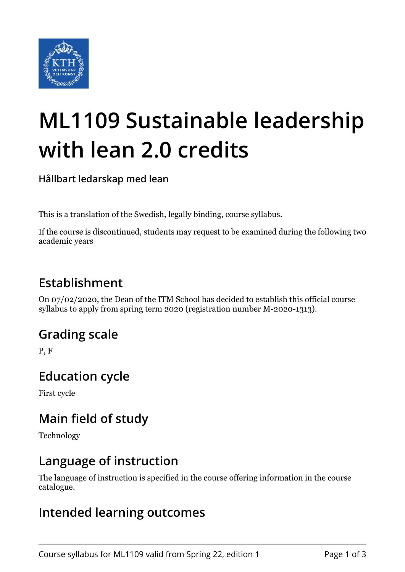

# **ML1109 Sustainable leadership with lean 2.0 credits**

**Hållbart ledarskap med lean**

This is a translation of the Swedish, legally binding, course syllabus.

If the course is discontinued, students may request to be examined during the following two academic years

## **Establishment**

On 07/02/2020, the Dean of the ITM School has decided to establish this official course syllabus to apply from spring term 2020 (registration number M-2020-1313).

#### **Grading scale**

P, F

#### **Education cycle**

First cycle

## **Main field of study**

Technology

#### **Language of instruction**

The language of instruction is specified in the course offering information in the course catalogue.

#### **Intended learning outcomes**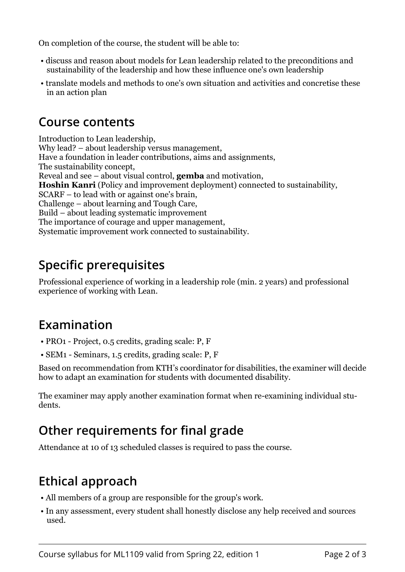On completion of the course, the student will be able to:

- discuss and reason about models for Lean leadership related to the preconditions and sustainability of the leadership and how these influence one's own leadership
- translate models and methods to one's own situation and activities and concretise these in an action plan

#### **Course contents**

Introduction to Lean leadership, Why lead? – about leadership versus management, Have a foundation in leader contributions, aims and assignments, The sustainability concept, Reveal and see – about visual control, **gemba** and motivation, **Hoshin Kanri** (Policy and improvement deployment) connected to sustainability, SCARF – to lead with or against one's brain, Challenge – about learning and Tough Care, Build – about leading systematic improvement The importance of courage and upper management, Systematic improvement work connected to sustainability.

## **Specific prerequisites**

Professional experience of working in a leadership role (min. 2 years) and professional experience of working with Lean.

## **Examination**

- PRO1 Project, 0.5 credits, grading scale: P, F
- SEM1 Seminars, 1.5 credits, grading scale: P, F

Based on recommendation from KTH's coordinator for disabilities, the examiner will decide how to adapt an examination for students with documented disability.

The examiner may apply another examination format when re-examining individual students.

## **Other requirements for final grade**

Attendance at 10 of 13 scheduled classes is required to pass the course.

## **Ethical approach**

- All members of a group are responsible for the group's work.
- In any assessment, every student shall honestly disclose any help received and sources used.